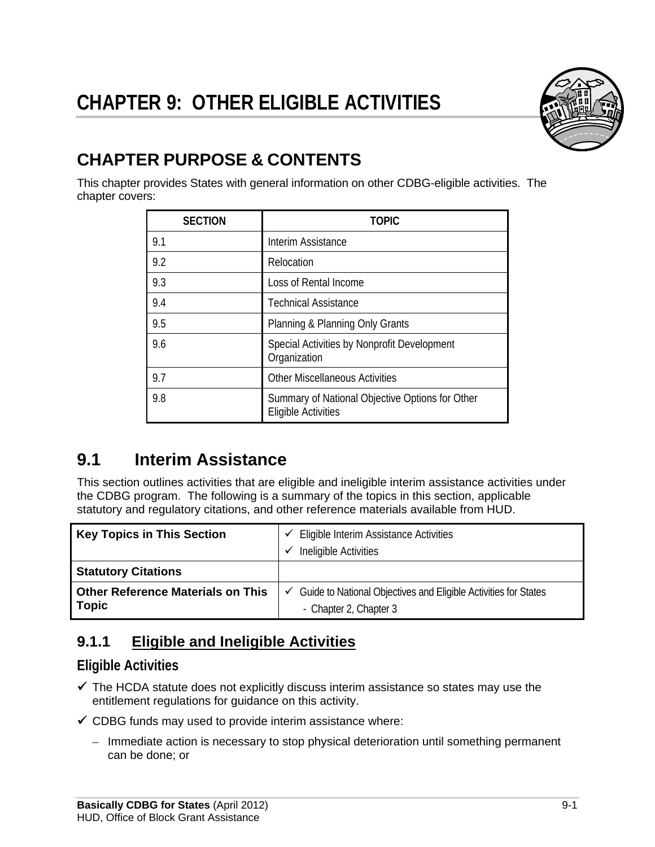# **CHAPTER 9: OTHER ELIGIBLE ACTIVITIES**



## **CHAPTER PURPOSE & CONTENTS**

This chapter provides States with general information on other CDBG-eligible activities. The chapter covers:

| <b>SECTION</b> | <b>TOPIC</b>                                                                  |
|----------------|-------------------------------------------------------------------------------|
| 9.1            | Interim Assistance                                                            |
| 9.2            | Relocation                                                                    |
| 9.3            | Loss of Rental Income                                                         |
| 9.4            | <b>Technical Assistance</b>                                                   |
| 9.5            | Planning & Planning Only Grants                                               |
| 9.6            | Special Activities by Nonprofit Development<br>Organization                   |
| 9.7            | <b>Other Miscellaneous Activities</b>                                         |
| 9.8            | Summary of National Objective Options for Other<br><b>Eligible Activities</b> |

## **9.1 Interim Assistance**

This section outlines activities that are eligible and ineligible interim assistance activities under the CDBG program. The following is a summary of the topics in this section, applicable statutory and regulatory citations, and other reference materials available from HUD.

| <b>Key Topics in This Section</b>                        | $\checkmark$ Eligible Interim Assistance Activities<br>Ineligible Activities                   |
|----------------------------------------------------------|------------------------------------------------------------------------------------------------|
| <b>Statutory Citations</b>                               |                                                                                                |
| <b>Other Reference Materials on This</b><br><b>Topic</b> | Guide to National Objectives and Eligible Activities for States<br>✓<br>- Chapter 2, Chapter 3 |

### **9.1.1 Eligible and Ineligible Activities**

#### **Eligible Activities**

- $\checkmark$  The HCDA statute does not explicitly discuss interim assistance so states may use the entitlement regulations for guidance on this activity.
- $\checkmark$  CDBG funds may used to provide interim assistance where:
	- Immediate action is necessary to stop physical deterioration until something permanent can be done; or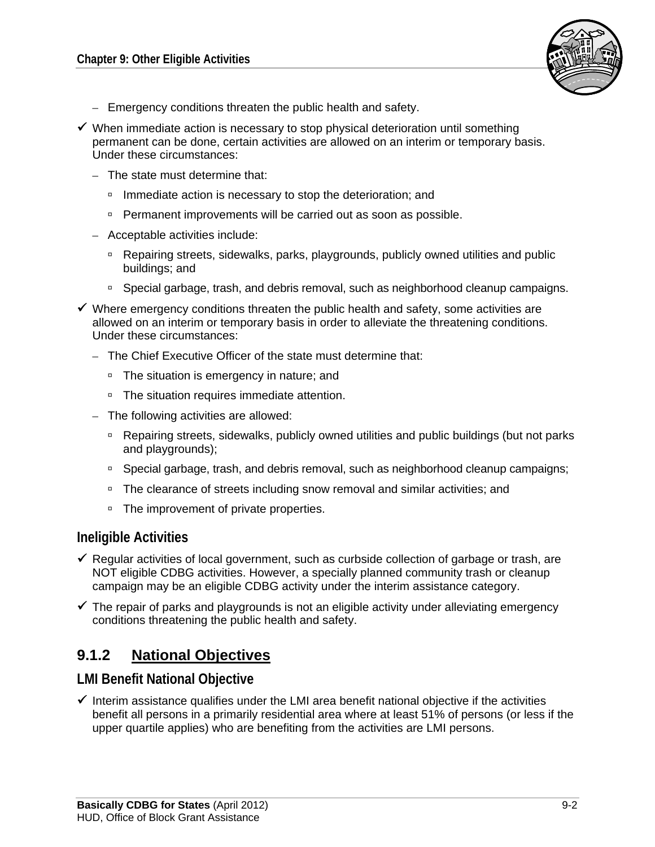

- Emergency conditions threaten the public health and safety.
- $\checkmark$  When immediate action is necessary to stop physical deterioration until something permanent can be done, certain activities are allowed on an interim or temporary basis. Under these circumstances:
	- The state must determine that:
		- **Immediate action is necessary to stop the deterioration; and**
		- **Permanent improvements will be carried out as soon as possible.**
	- Acceptable activities include:
		- Repairing streets, sidewalks, parks, playgrounds, publicly owned utilities and public buildings; and
		- □ Special garbage, trash, and debris removal, such as neighborhood cleanup campaigns.
- $\checkmark$  Where emergency conditions threaten the public health and safety, some activities are allowed on an interim or temporary basis in order to alleviate the threatening conditions. Under these circumstances:
	- The Chief Executive Officer of the state must determine that:
		- □ The situation is emergency in nature; and
		- □ The situation requires immediate attention.
	- The following activities are allowed:
		- □ Repairing streets, sidewalks, publicly owned utilities and public buildings (but not parks and playgrounds);
		- Special garbage, trash, and debris removal, such as neighborhood cleanup campaigns;
		- □ The clearance of streets including snow removal and similar activities; and
		- □ The improvement of private properties.

#### **Ineligible Activities**

- $\checkmark$  Regular activities of local government, such as curbside collection of garbage or trash, are NOT eligible CDBG activities. However, a specially planned community trash or cleanup campaign may be an eligible CDBG activity under the interim assistance category.
- $\checkmark$  The repair of parks and playgrounds is not an eligible activity under alleviating emergency conditions threatening the public health and safety.

#### **9.1.2 National Objectives**

#### **LMI Benefit National Objective**

 $\checkmark$  Interim assistance qualifies under the LMI area benefit national objective if the activities benefit all persons in a primarily residential area where at least 51% of persons (or less if the upper quartile applies) who are benefiting from the activities are LMI persons.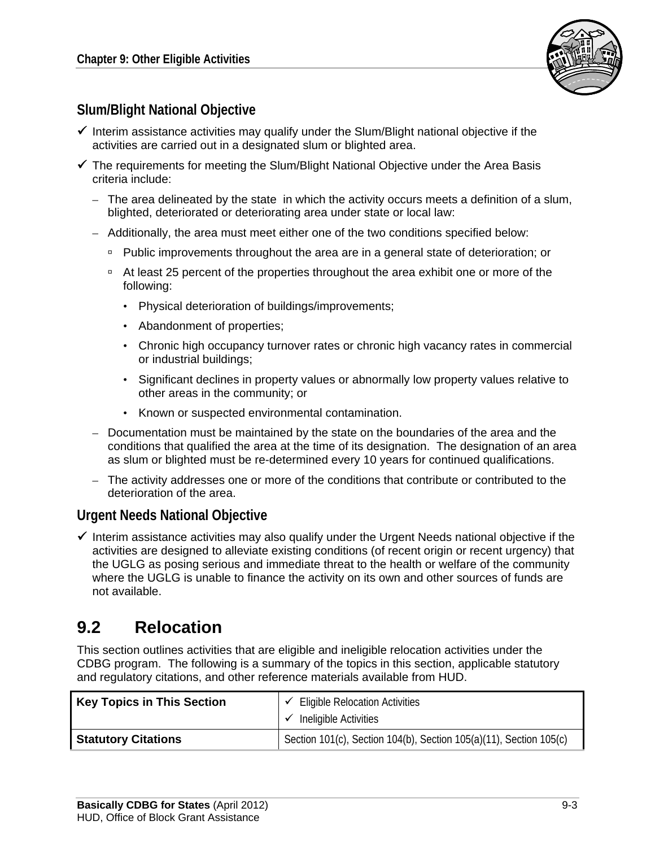

#### **Slum/Blight National Objective**

- $\checkmark$  Interim assistance activities may qualify under the Slum/Blight national objective if the activities are carried out in a designated slum or blighted area.
- $\checkmark$  The requirements for meeting the Slum/Blight National Objective under the Area Basis criteria include:
	- The area delineated by the state in which the activity occurs meets a definition of a slum, blighted, deteriorated or deteriorating area under state or local law:
	- Additionally, the area must meet either one of the two conditions specified below:
		- □ Public improvements throughout the area are in a general state of deterioration; or
		- At least 25 percent of the properties throughout the area exhibit one or more of the following:
			- Physical deterioration of buildings/improvements;
			- Abandonment of properties;
			- Chronic high occupancy turnover rates or chronic high vacancy rates in commercial or industrial buildings;
			- Significant declines in property values or abnormally low property values relative to other areas in the community; or
			- Known or suspected environmental contamination.
	- Documentation must be maintained by the state on the boundaries of the area and the conditions that qualified the area at the time of its designation. The designation of an area as slum or blighted must be re-determined every 10 years for continued qualifications.
	- The activity addresses one or more of the conditions that contribute or contributed to the deterioration of the area.

#### **Urgent Needs National Objective**

 $\checkmark$  Interim assistance activities may also qualify under the Urgent Needs national objective if the activities are designed to alleviate existing conditions (of recent origin or recent urgency) that the UGLG as posing serious and immediate threat to the health or welfare of the community where the UGLG is unable to finance the activity on its own and other sources of funds are not available.

### **9.2 Relocation**

This section outlines activities that are eligible and ineligible relocation activities under the CDBG program. The following is a summary of the topics in this section, applicable statutory and regulatory citations, and other reference materials available from HUD.

| <b>Key Topics in This Section</b> | <b>Eligible Relocation Activities</b><br>Ineligible Activities     |
|-----------------------------------|--------------------------------------------------------------------|
| <b>Statutory Citations</b>        | Section 101(c), Section 104(b), Section 105(a)(11), Section 105(c) |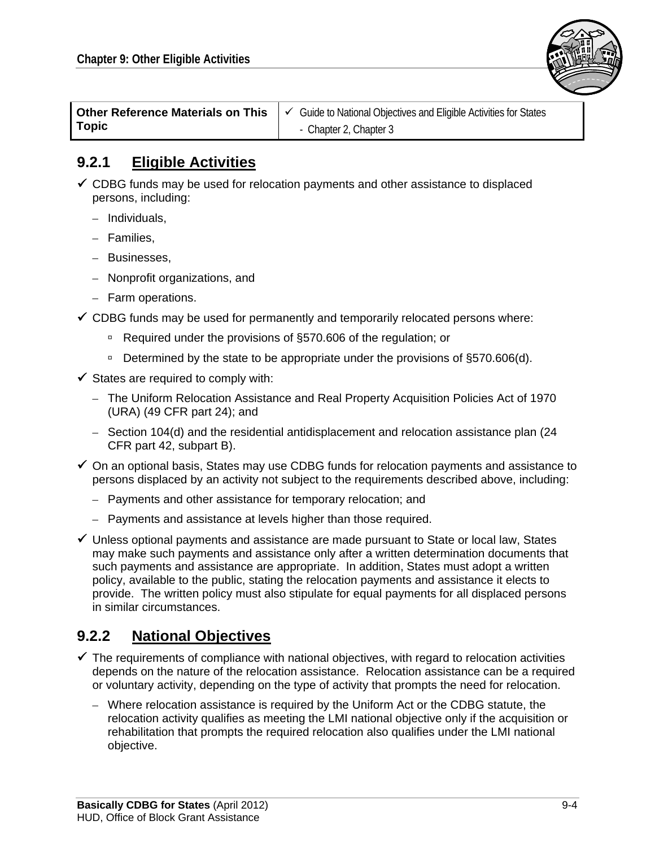

| <b>Other Reference Materials on This</b> | $\vert \checkmark$ Guide to National Objectives and Eligible Activities for States |  |  |  |  |
|------------------------------------------|------------------------------------------------------------------------------------|--|--|--|--|
| <b>Topic</b>                             | - Chapter 2, Chapter 3                                                             |  |  |  |  |

#### **9.2.1 Eligible Activities**

- $\checkmark$  CDBG funds may be used for relocation payments and other assistance to displaced persons, including:
	- Individuals,
	- Families,
	- Businesses,
	- Nonprofit organizations, and
	- Farm operations.
- $\checkmark$  CDBG funds may be used for permanently and temporarily relocated persons where:
	- □ Required under the provisions of §570.606 of the regulation; or
	- Determined by the state to be appropriate under the provisions of  $\S570.606(d)$ .
- $\checkmark$  States are required to comply with:
	- The Uniform Relocation Assistance and Real Property Acquisition Policies Act of 1970 (URA) (49 CFR part 24); and
	- Section 104(d) and the residential antidisplacement and relocation assistance plan (24 CFR part 42, subpart B).
- $\checkmark$  On an optional basis, States may use CDBG funds for relocation payments and assistance to persons displaced by an activity not subject to the requirements described above, including:
	- Payments and other assistance for temporary relocation; and
	- Payments and assistance at levels higher than those required.
- $\checkmark$  Unless optional payments and assistance are made pursuant to State or local law, States may make such payments and assistance only after a written determination documents that such payments and assistance are appropriate. In addition, States must adopt a written policy, available to the public, stating the relocation payments and assistance it elects to provide. The written policy must also stipulate for equal payments for all displaced persons in similar circumstances.

#### **9.2.2 National Objectives**

- $\checkmark$  The requirements of compliance with national objectives, with regard to relocation activities depends on the nature of the relocation assistance. Relocation assistance can be a required or voluntary activity, depending on the type of activity that prompts the need for relocation.
	- Where relocation assistance is required by the Uniform Act or the CDBG statute, the relocation activity qualifies as meeting the LMI national objective only if the acquisition or rehabilitation that prompts the required relocation also qualifies under the LMI national objective.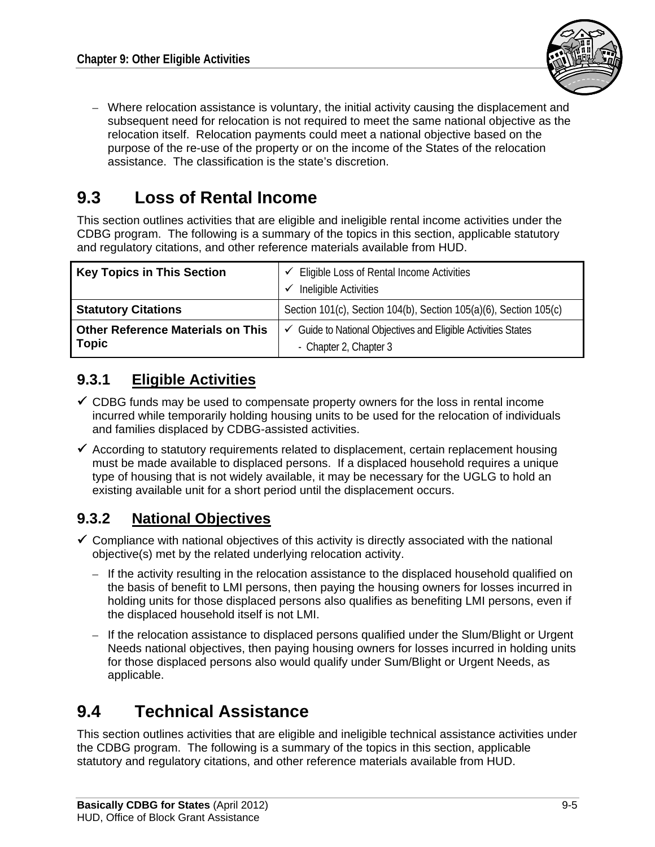

– Where relocation assistance is voluntary, the initial activity causing the displacement and subsequent need for relocation is not required to meet the same national objective as the relocation itself. Relocation payments could meet a national objective based on the purpose of the re-use of the property or on the income of the States of the relocation assistance. The classification is the state's discretion.

## **9.3 Loss of Rental Income**

This section outlines activities that are eligible and ineligible rental income activities under the CDBG program. The following is a summary of the topics in this section, applicable statutory and regulatory citations, and other reference materials available from HUD.

| <b>Key Topics in This Section</b>                        | $\checkmark$ Eligible Loss of Rental Income Activities<br>Ineligible Activities         |  |
|----------------------------------------------------------|-----------------------------------------------------------------------------------------|--|
| <b>Statutory Citations</b>                               | Section 101(c), Section 104(b), Section 105(a)(6), Section 105(c)                       |  |
| <b>Other Reference Materials on This</b><br><b>Topic</b> | ✓ Guide to National Objectives and Eligible Activities States<br>- Chapter 2, Chapter 3 |  |

#### **9.3.1 Eligible Activities**

- $\checkmark$  CDBG funds may be used to compensate property owners for the loss in rental income incurred while temporarily holding housing units to be used for the relocation of individuals and families displaced by CDBG-assisted activities.
- $\checkmark$  According to statutory requirements related to displacement, certain replacement housing must be made available to displaced persons. If a displaced household requires a unique type of housing that is not widely available, it may be necessary for the UGLG to hold an existing available unit for a short period until the displacement occurs.

### **9.3.2 National Objectives**

- $\checkmark$  Compliance with national objectives of this activity is directly associated with the national objective(s) met by the related underlying relocation activity.
	- If the activity resulting in the relocation assistance to the displaced household qualified on the basis of benefit to LMI persons, then paying the housing owners for losses incurred in holding units for those displaced persons also qualifies as benefiting LMI persons, even if the displaced household itself is not LMI.
	- If the relocation assistance to displaced persons qualified under the Slum/Blight or Urgent Needs national objectives, then paying housing owners for losses incurred in holding units for those displaced persons also would qualify under Sum/Blight or Urgent Needs, as applicable.

## **9.4 Technical Assistance**

This section outlines activities that are eligible and ineligible technical assistance activities under the CDBG program. The following is a summary of the topics in this section, applicable statutory and regulatory citations, and other reference materials available from HUD.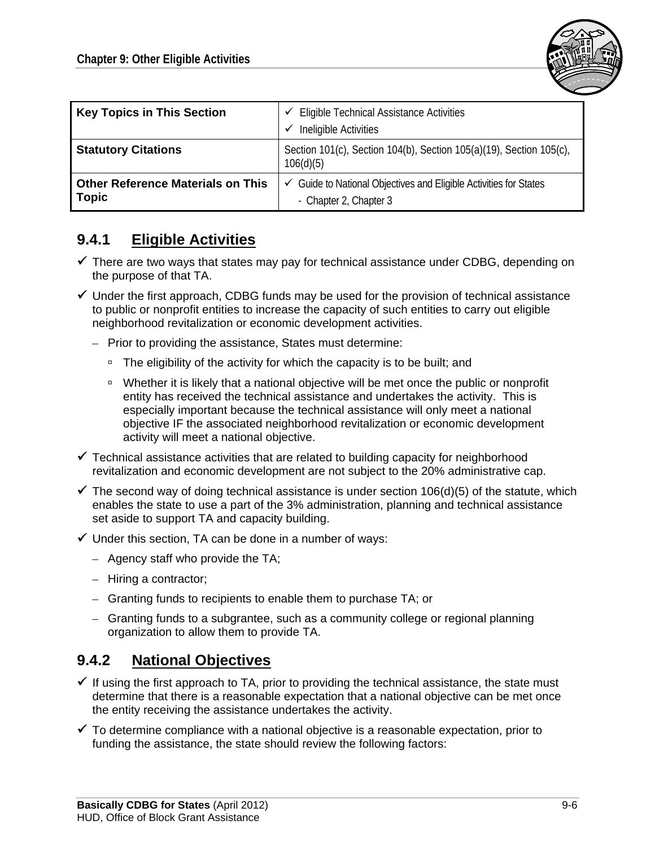

| <b>Key Topics in This Section</b>                        | <b>Eligible Technical Assistance Activities</b><br>✓<br>Ineligible Activities<br>v                     |  |  |  |
|----------------------------------------------------------|--------------------------------------------------------------------------------------------------------|--|--|--|
| <b>Statutory Citations</b>                               | Section 101(c), Section 104(b), Section 105(a)(19), Section 105(c),<br>106(d)(5)                       |  |  |  |
| <b>Other Reference Materials on This</b><br><b>Topic</b> | $\checkmark$ Guide to National Objectives and Eligible Activities for States<br>- Chapter 2, Chapter 3 |  |  |  |

#### **9.4.1 Eligible Activities**

- $\checkmark$  There are two ways that states may pay for technical assistance under CDBG, depending on the purpose of that TA.
- $\checkmark$  Under the first approach, CDBG funds may be used for the provision of technical assistance to public or nonprofit entities to increase the capacity of such entities to carry out eligible neighborhood revitalization or economic development activities.
	- Prior to providing the assistance, States must determine:
		- □ The eligibility of the activity for which the capacity is to be built; and
		- □ Whether it is likely that a national objective will be met once the public or nonprofit entity has received the technical assistance and undertakes the activity. This is especially important because the technical assistance will only meet a national objective IF the associated neighborhood revitalization or economic development activity will meet a national objective.
- $\checkmark$  Technical assistance activities that are related to building capacity for neighborhood revitalization and economic development are not subject to the 20% administrative cap.
- $\checkmark$  The second way of doing technical assistance is under section 106(d)(5) of the statute, which enables the state to use a part of the 3% administration, planning and technical assistance set aside to support TA and capacity building.
- $\checkmark$  Under this section, TA can be done in a number of ways:
	- Agency staff who provide the TA;
	- Hiring a contractor;
	- Granting funds to recipients to enable them to purchase TA; or
	- Granting funds to a subgrantee, such as a community college or regional planning organization to allow them to provide TA.

#### **9.4.2 National Objectives**

- $\checkmark$  If using the first approach to TA, prior to providing the technical assistance, the state must determine that there is a reasonable expectation that a national objective can be met once the entity receiving the assistance undertakes the activity.
- $\checkmark$  To determine compliance with a national objective is a reasonable expectation, prior to funding the assistance, the state should review the following factors: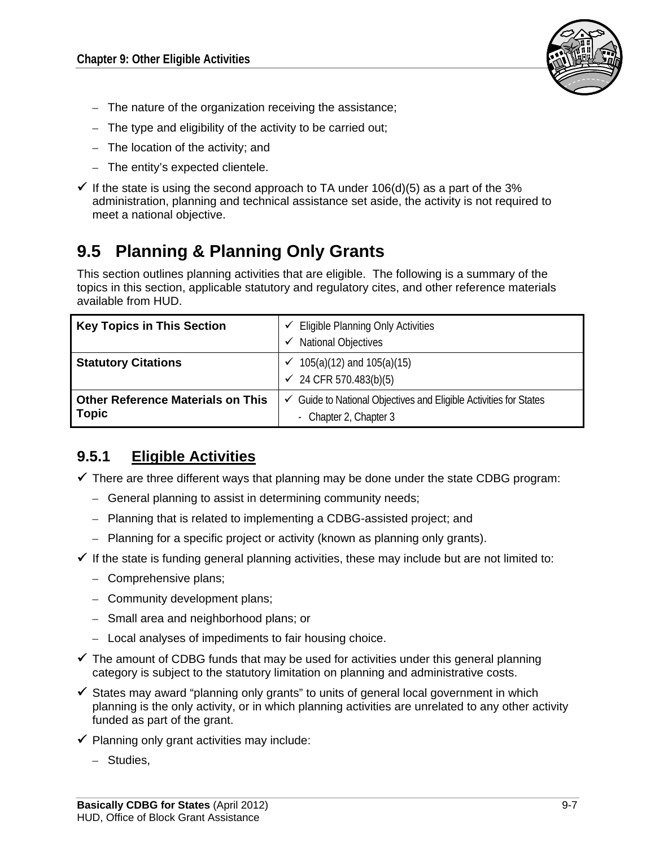

- The nature of the organization receiving the assistance;
- The type and eligibility of the activity to be carried out;
- The location of the activity; and
- The entity's expected clientele.
- If the state is using the second approach to TA under  $106(d)(5)$  as a part of the 3% administration, planning and technical assistance set aside, the activity is not required to meet a national objective.

## **9.5 Planning & Planning Only Grants**

This section outlines planning activities that are eligible. The following is a summary of the topics in this section, applicable statutory and regulatory cites, and other reference materials available from HUD.

| <b>Key Topics in This Section</b>                        | $\checkmark$ Eligible Planning Only Activities<br><b>National Objectives</b>                           |  |  |  |
|----------------------------------------------------------|--------------------------------------------------------------------------------------------------------|--|--|--|
| <b>Statutory Citations</b>                               | $105(a)(12)$ and $105(a)(15)$<br>$\checkmark$ 24 CFR 570.483(b)(5)                                     |  |  |  |
| <b>Other Reference Materials on This</b><br><b>Topic</b> | $\checkmark$ Guide to National Objectives and Eligible Activities for States<br>- Chapter 2, Chapter 3 |  |  |  |

#### **9.5.1 Eligible Activities**

 $\checkmark$  There are three different ways that planning may be done under the state CDBG program:

- General planning to assist in determining community needs;
- Planning that is related to implementing a CDBG-assisted project; and
- Planning for a specific project or activity (known as planning only grants).
- $\checkmark$  If the state is funding general planning activities, these may include but are not limited to:
	- Comprehensive plans;
	- Community development plans;
	- Small area and neighborhood plans; or
	- Local analyses of impediments to fair housing choice.
- $\checkmark$  The amount of CDBG funds that may be used for activities under this general planning category is subject to the statutory limitation on planning and administrative costs.
- $\checkmark$  States may award "planning only grants" to units of general local government in which planning is the only activity, or in which planning activities are unrelated to any other activity funded as part of the grant.
- $\checkmark$  Planning only grant activities may include:
	- Studies,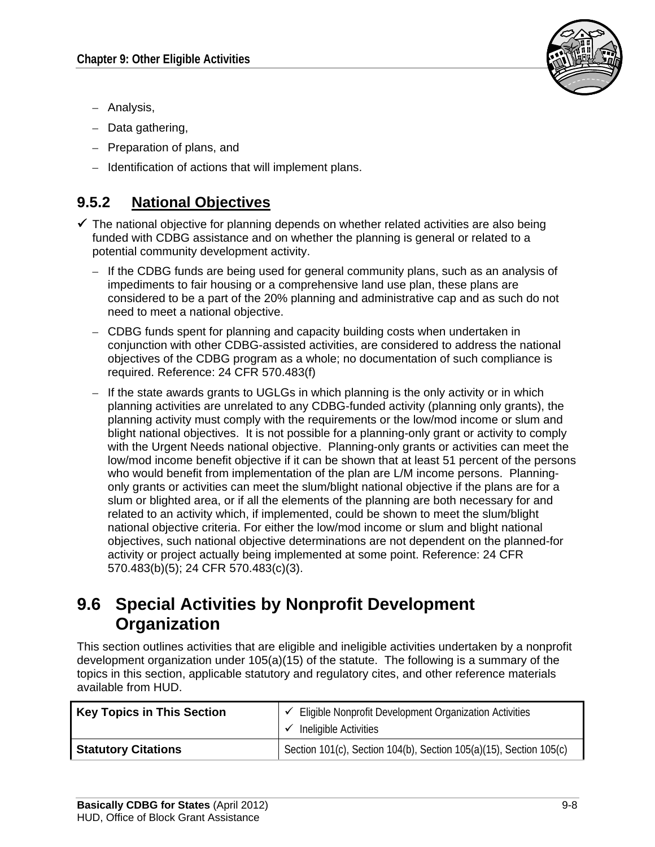

- Analysis,
- Data gathering,
- Preparation of plans, and
- Identification of actions that will implement plans.

### **9.5.2 National Objectives**

- $\checkmark$  The national objective for planning depends on whether related activities are also being funded with CDBG assistance and on whether the planning is general or related to a potential community development activity.
	- If the CDBG funds are being used for general community plans, such as an analysis of impediments to fair housing or a comprehensive land use plan, these plans are considered to be a part of the 20% planning and administrative cap and as such do not need to meet a national objective.
	- CDBG funds spent for planning and capacity building costs when undertaken in conjunction with other CDBG-assisted activities, are considered to address the national objectives of the CDBG program as a whole; no documentation of such compliance is required. Reference: 24 CFR 570.483(f)
	- If the state awards grants to UGLGs in which planning is the only activity or in which planning activities are unrelated to any CDBG-funded activity (planning only grants), the planning activity must comply with the requirements or the low/mod income or slum and blight national objectives. It is not possible for a planning-only grant or activity to comply with the Urgent Needs national objective. Planning-only grants or activities can meet the low/mod income benefit objective if it can be shown that at least 51 percent of the persons who would benefit from implementation of the plan are L/M income persons. Planningonly grants or activities can meet the slum/blight national objective if the plans are for a slum or blighted area, or if all the elements of the planning are both necessary for and related to an activity which, if implemented, could be shown to meet the slum/blight national objective criteria. For either the low/mod income or slum and blight national objectives, such national objective determinations are not dependent on the planned-for activity or project actually being implemented at some point. Reference: 24 CFR 570.483(b)(5); 24 CFR 570.483(c)(3).

### **9.6 Special Activities by Nonprofit Development Organization**

This section outlines activities that are eligible and ineligible activities undertaken by a nonprofit development organization under 105(a)(15) of the statute. The following is a summary of the topics in this section, applicable statutory and regulatory cites, and other reference materials available from HUD.

| <b>Key Topics in This Section</b> | Eligible Nonprofit Development Organization Activities<br>Ineligible Activities |
|-----------------------------------|---------------------------------------------------------------------------------|
| <b>Statutory Citations</b>        | Section 101(c), Section 104(b), Section 105(a)(15), Section 105(c)              |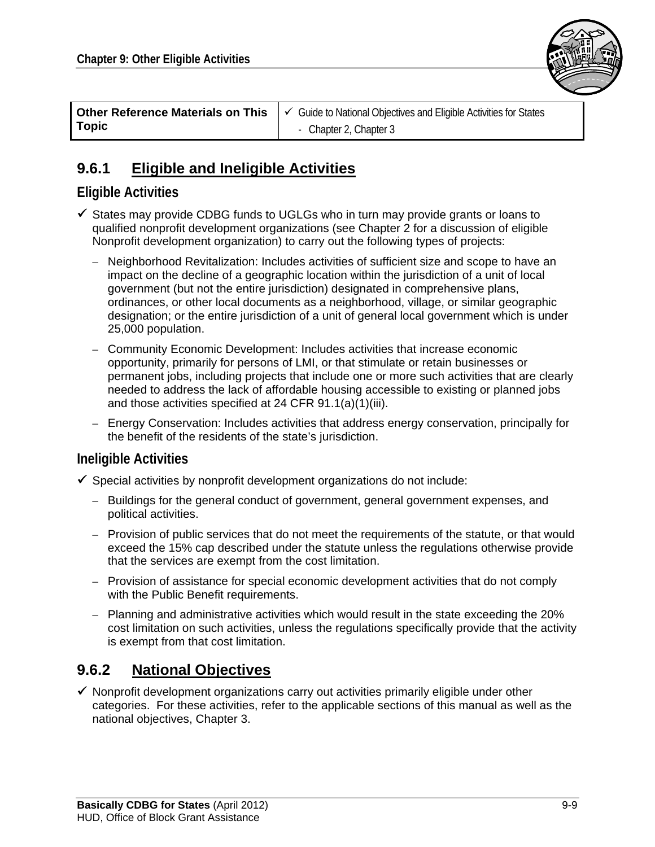

|              | <b>Other Reference Materials on This</b> $\mathcal{C}$ Guide to National Objectives and Eligible Activities for States |  |  |  |  |
|--------------|------------------------------------------------------------------------------------------------------------------------|--|--|--|--|
| <b>Topic</b> | - Chapter 2, Chapter 3                                                                                                 |  |  |  |  |

#### **9.6.1 Eligible and Ineligible Activities**

#### **Eligible Activities**

- $\checkmark$  States may provide CDBG funds to UGLGs who in turn may provide grants or loans to qualified nonprofit development organizations (see Chapter 2 for a discussion of eligible Nonprofit development organization) to carry out the following types of projects:
	- Neighborhood Revitalization: Includes activities of sufficient size and scope to have an impact on the decline of a geographic location within the jurisdiction of a unit of local government (but not the entire jurisdiction) designated in comprehensive plans, ordinances, or other local documents as a neighborhood, village, or similar geographic designation; or the entire jurisdiction of a unit of general local government which is under 25,000 population.
	- Community Economic Development: Includes activities that increase economic opportunity, primarily for persons of LMI, or that stimulate or retain businesses or permanent jobs, including projects that include one or more such activities that are clearly needed to address the lack of affordable housing accessible to existing or planned jobs and those activities specified at 24 CFR 91.1(a)(1)(iii).
	- Energy Conservation: Includes activities that address energy conservation, principally for the benefit of the residents of the state's jurisdiction.

#### **Ineligible Activities**

- $\checkmark$  Special activities by nonprofit development organizations do not include:
	- Buildings for the general conduct of government, general government expenses, and political activities.
	- Provision of public services that do not meet the requirements of the statute, or that would exceed the 15% cap described under the statute unless the regulations otherwise provide that the services are exempt from the cost limitation.
	- Provision of assistance for special economic development activities that do not comply with the Public Benefit requirements.
	- Planning and administrative activities which would result in the state exceeding the 20% cost limitation on such activities, unless the regulations specifically provide that the activity is exempt from that cost limitation.

#### **9.6.2 National Objectives**

 $\checkmark$  Nonprofit development organizations carry out activities primarily eligible under other categories. For these activities, refer to the applicable sections of this manual as well as the national objectives, Chapter 3.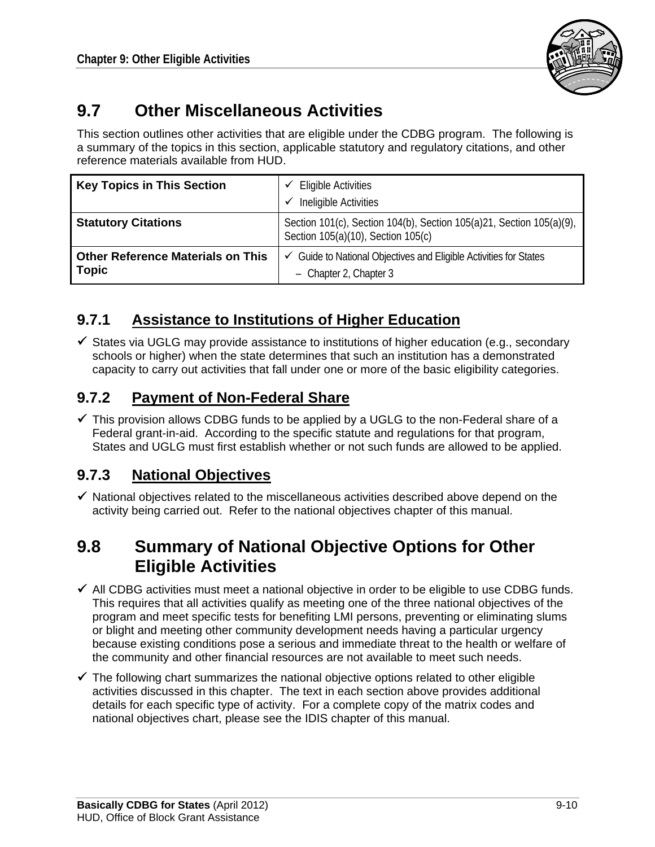

## **9.7 Other Miscellaneous Activities**

This section outlines other activities that are eligible under the CDBG program. The following is a summary of the topics in this section, applicable statutory and regulatory citations, and other reference materials available from HUD.

| <b>Key Topics in This Section</b>                        | <b>Eligible Activities</b><br>$\checkmark$<br>Ineligible Activities<br>✓                                   |
|----------------------------------------------------------|------------------------------------------------------------------------------------------------------------|
| <b>Statutory Citations</b>                               | Section 101(c), Section 104(b), Section 105(a)21, Section 105(a)(9),<br>Section 105(a)(10), Section 105(c) |
| <b>Other Reference Materials on This</b><br><b>Topic</b> | $\checkmark$ Guide to National Objectives and Eligible Activities for States<br>- Chapter 2, Chapter 3     |

### **9.7.1 Assistance to Institutions of Higher Education**

 $\checkmark$  States via UGLG may provide assistance to institutions of higher education (e.g., secondary schools or higher) when the state determines that such an institution has a demonstrated capacity to carry out activities that fall under one or more of the basic eligibility categories.

### **9.7.2 Payment of Non-Federal Share**

 $\checkmark$  This provision allows CDBG funds to be applied by a UGLG to the non-Federal share of a Federal grant-in-aid. According to the specific statute and regulations for that program, States and UGLG must first establish whether or not such funds are allowed to be applied.

### **9.7.3 National Objectives**

 $\checkmark$  National objectives related to the miscellaneous activities described above depend on the activity being carried out. Refer to the national objectives chapter of this manual.

## **9.8 Summary of National Objective Options for Other Eligible Activities**

- $\checkmark$  All CDBG activities must meet a national objective in order to be eligible to use CDBG funds. This requires that all activities qualify as meeting one of the three national objectives of the program and meet specific tests for benefiting LMI persons, preventing or eliminating slums or blight and meeting other community development needs having a particular urgency because existing conditions pose a serious and immediate threat to the health or welfare of the community and other financial resources are not available to meet such needs.
- $\checkmark$  The following chart summarizes the national objective options related to other eligible activities discussed in this chapter. The text in each section above provides additional details for each specific type of activity. For a complete copy of the matrix codes and national objectives chart, please see the IDIS chapter of this manual.